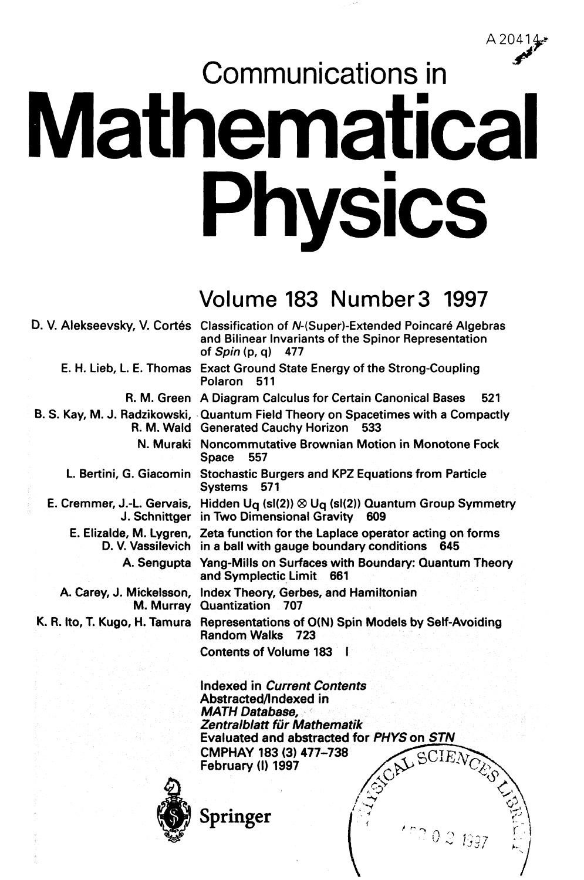$A 2041$ 

# Communications in **Mathematical Physics**

### **Volume 183 Number3 1997**

| D. V. Alekseevsky, V. Cortés Classification of N-(Super)-Extended Poincaré Algebras                                                                              |
|------------------------------------------------------------------------------------------------------------------------------------------------------------------|
| and Bilinear Invariants of the Spinor Representation<br>of $Spin(p, q)$ 477                                                                                      |
| E. H. Lieb, L. E. Thomas Exact Ground State Energy of the Strong-Coupling<br>Polaron 511                                                                         |
| R. M. Green A Diagram Calculus for Certain Canonical Bases<br>521                                                                                                |
| B. S. Kay, M. J. Radzikowski, Quantum Field Theory on Spacetimes with a Compactly<br>R. M. Wald Generated Cauchy Horizon 533                                     |
| N. Muraki Noncommutative Brownian Motion in Monotone Fock<br>557<br>Space                                                                                        |
| L. Bertini, G. Giacomin Stochastic Burgers and KPZ Equations from Particle<br>Systems 571                                                                        |
| E. Cremmer, J.-L. Gervais, Hidden U <sub>G</sub> (sl(2)) $\otimes$ U <sub>G</sub> (sl(2)) Quantum Group Symmetry<br>J. Schnittger in Two Dimensional Gravity 609 |
| E. Elizalde, M. Lygren, Zeta function for the Laplace operator acting on forms<br>D. V. Vassilevich in a ball with gauge boundary conditions 645                 |
| A. Sengupta Yang-Mills on Surfaces with Boundary: Quantum Theory<br>and Symplectic Limit 661                                                                     |
| A. Carey, J. Mickelsson, Index Theory, Gerbes, and Hamiltonian<br>M. Murray Quantization 707                                                                     |
| K. R. Ito, T. Kugo, H. Tamura Representations of O(N) Spin Models by Self-Avoiding<br>Random Walks 723                                                           |
| <b>Contents of Volume 183</b>                                                                                                                                    |
| Indexed in Current Contents                                                                                                                                      |

**Indexed in Current Contents Abstracted/Indexed in MATH Database, Zentralblatt fur Mathematik Evaluated and abstracted for PHYS on STN CMPHAY 183 (3) 477-738 February (I) 1997**

1997